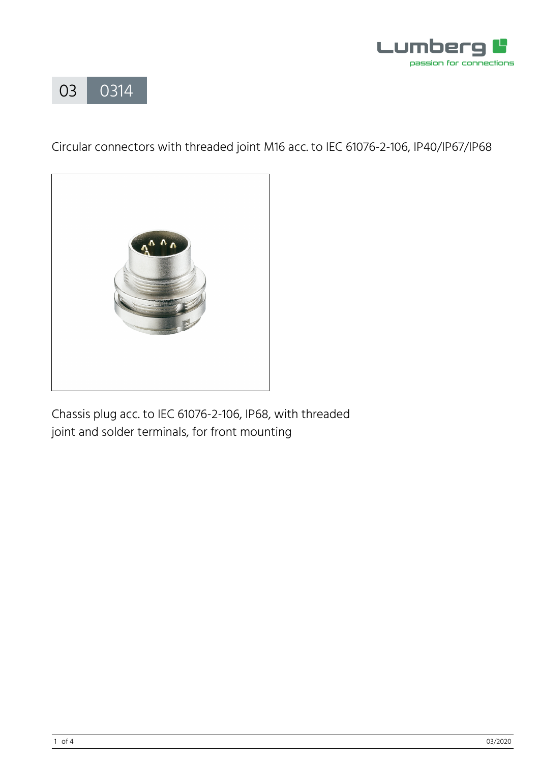



Circular connectors with threaded joint M16 acc. to IEC 61076-2-106, IP40/IP67/IP68



Chassis plug acc. to IEC 61076-2-106, IP68, with threaded joint and solder terminals, for front mounting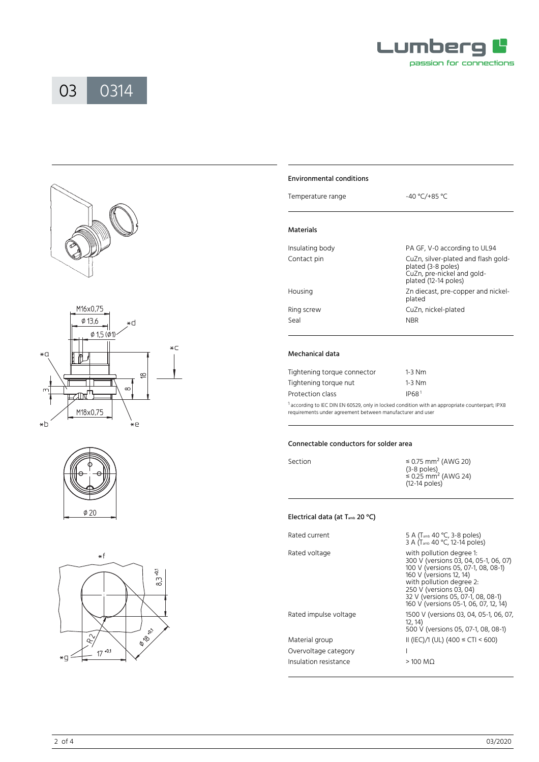











# Environmental conditions

| Temperature range | $-40 °C/+85 °C$              |  |
|-------------------|------------------------------|--|
| Materials         |                              |  |
| Insulating body   | PA GF, V-0 according to UL94 |  |

| Contact pin | CuZn, silver-plated and flash gold-<br>plated (3-8 poles)<br>CuZn, pre-nickel and gold-<br>plated (12-14 poles) |
|-------------|-----------------------------------------------------------------------------------------------------------------|
| Housing     | Zn diecast, pre-copper and nickel-<br>plated                                                                    |
| Ring screw  | CuZn, nickel-plated                                                                                             |
| Seal        | <b>NBR</b>                                                                                                      |
|             |                                                                                                                 |

# Mechanical data

| Tightening torque connector | $1-3$ Nm          |
|-----------------------------|-------------------|
| Tightening torque nut       | $1-3$ Nm          |
| Protection class            | IP68 <sup>1</sup> |

<sup>1</sup> according to IEC DIN EN 60529, only in locked condition with an appropriate counterpart; IPX8 requirements under agreement between manufacturer and user

#### Connectable conductors for solder area

| Section | $\leq$ 0.75 mm <sup>2</sup> (AWG 20)<br>$(3-8$ poles)<br>$\approx$ 0.25 mm <sup>2</sup> (AWG 24) |
|---------|--------------------------------------------------------------------------------------------------|
|         | $(12-14$ poles)                                                                                  |

# Electrical data (at T<sub>amb</sub> 20 °C)

| Rated current         | 5 A (T <sub>amb</sub> 40 °C, 3-8 poles)<br>3 A (T <sub>amb</sub> 40 °C, 12-14 poles)                                                                                                                                                                                      |
|-----------------------|---------------------------------------------------------------------------------------------------------------------------------------------------------------------------------------------------------------------------------------------------------------------------|
| Rated voltage         | with pollution degree 1:<br>300 V (versions 03, 04, 05-1, 06, 07)<br>100 V (versions 05, 07-1, 08, 08-1)<br>160 V (versions 12, 14)<br>with pollution degree 2:<br>250 V (versions 03, 04)<br>32 V (versions 05, 07-1, 08, 08-1)<br>160 V (versions 05-1, 06, 07, 12, 14) |
| Rated impulse voltage | 1500 V (versions 03, 04, 05-1, 06, 07,<br>12, 14)<br>500 V (versions 05, 07-1, 08, 08-1)                                                                                                                                                                                  |
| Material group        | II (IEC)/1 (UL) (400 $\leq$ CTI < 600)                                                                                                                                                                                                                                    |
| Overvoltage category  |                                                                                                                                                                                                                                                                           |
| Insulation resistance | $>100$ MQ                                                                                                                                                                                                                                                                 |
|                       |                                                                                                                                                                                                                                                                           |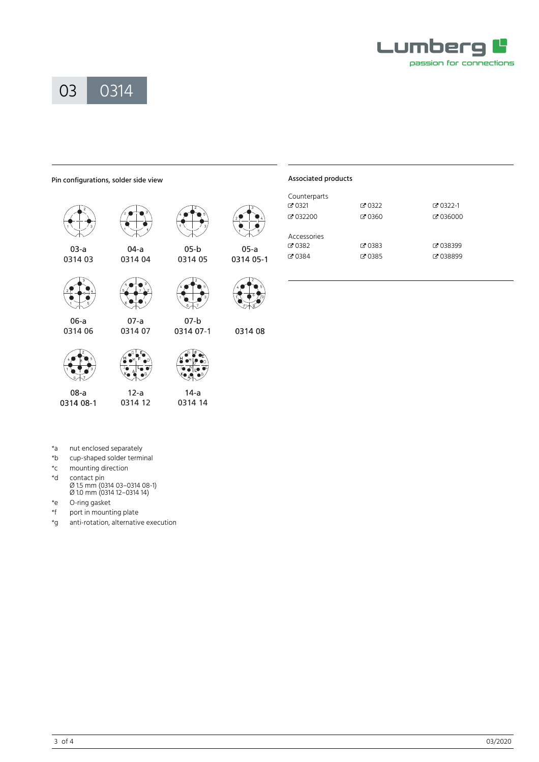



# Pin configurations, solder side view



 $08-a$  $12-a$  $14-a$ 0314 08-1 0314 12 0314 14

# Associated products

 $05-a$ 0314 05-1

0314 08

| Counterparts |            |                  |
|--------------|------------|------------------|
| $C = 0321$   | $C = 0322$ | $C = 0322 - 1$   |
| $C = 032200$ | ි 0360     | Z 036000         |
| Accessories  |            |                  |
| $C = 0382$   | ☑ 0383     | ■ 038399         |
| $C = 0384$   | ☑ 0385     | <b>PP 038899</b> |

- 
- \*a nut enclosed separately<br>\*b cup-shaped solder termi cup-shaped solder terminal
- \*c mounting direction
- \*d contact pin Ø 1.5 mm (0314 03–0314 08-1) Ø 1.0 mm (0314 12–0314 14)
- \*e O-ring gasket
- \*f port in mounting plate
- \*g anti-rotation, alternative execution